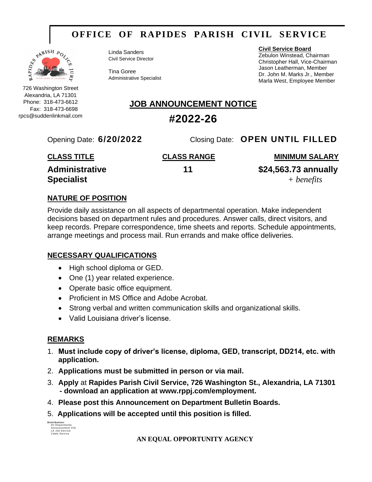## **OFFICE OF RAPIDES PARISH CIVIL SERVICE**



726 Washington Street Alexandria, LA 71301 Phone: 318-473-6612 Fax: 318-473-6698 rpcs@suddenlinkmail.com Linda Sanders Civil Service Director

Tina Goree Administrative Specialist **Civil Service Board**

Zebulon Winstead, Chairman Christopher Hall, Vice-Chairman Jason Leatherman, Member Dr. John M. Marks Jr., Member Marla West, Employee Member

### **JOB ANNOUNCEMENT NOTICE**

### **#2022-26**

Opening Date: **6/20/2022** Closing Date: **OPEN UNTIL FILLED**

| <b>CLASS TITLE</b>    | <b>CLASS RANGE</b> | <b>MINIMUM SALARY</b> |
|-----------------------|--------------------|-----------------------|
| <b>Administrative</b> | 11                 | \$24,563.73 annually  |
| <b>Specialist</b>     |                    | + benefits            |

#### **NATURE OF POSITION**

Provide daily assistance on all aspects of departmental operation. Make independent decisions based on department rules and procedures. Answer calls, direct visitors, and keep records. Prepare correspondence, time sheets and reports. Schedule appointments, arrange meetings and process mail. Run errands and make office deliveries.

#### **NECESSARY QUALIFICATIONS**

- High school diploma or GED.
- One (1) year related experience.
- Operate basic office equipment.
- Proficient in MS Office and Adobe Acrobat.
- Strong verbal and written communication skills and organizational skills.
- Valid Louisiana driver's license.

#### **REMARKS**

- 1. **Must include copy of driver's license, diploma, GED, transcript, DD214, etc. with application.**
- 2. **Applications must be submitted in person or via mail.**
- 3. **Apply** at **Rapides Parish Civil Service, 726 Washington St., Alexandria, LA 71301 - download an application at www.rppj.com/employment.**
- 4. **Please post this Announcement on Department Bulletin Boards.**
- 5. **Applications will be accepted until this position is filled.**

| Distribution:          |  |  |
|------------------------|--|--|
| <b>All Departments</b> |  |  |
| Announcement File      |  |  |
| LA Job Service         |  |  |
| Cable Service          |  |  |

**AN EQUAL OPPORTUNITY AGENCY**